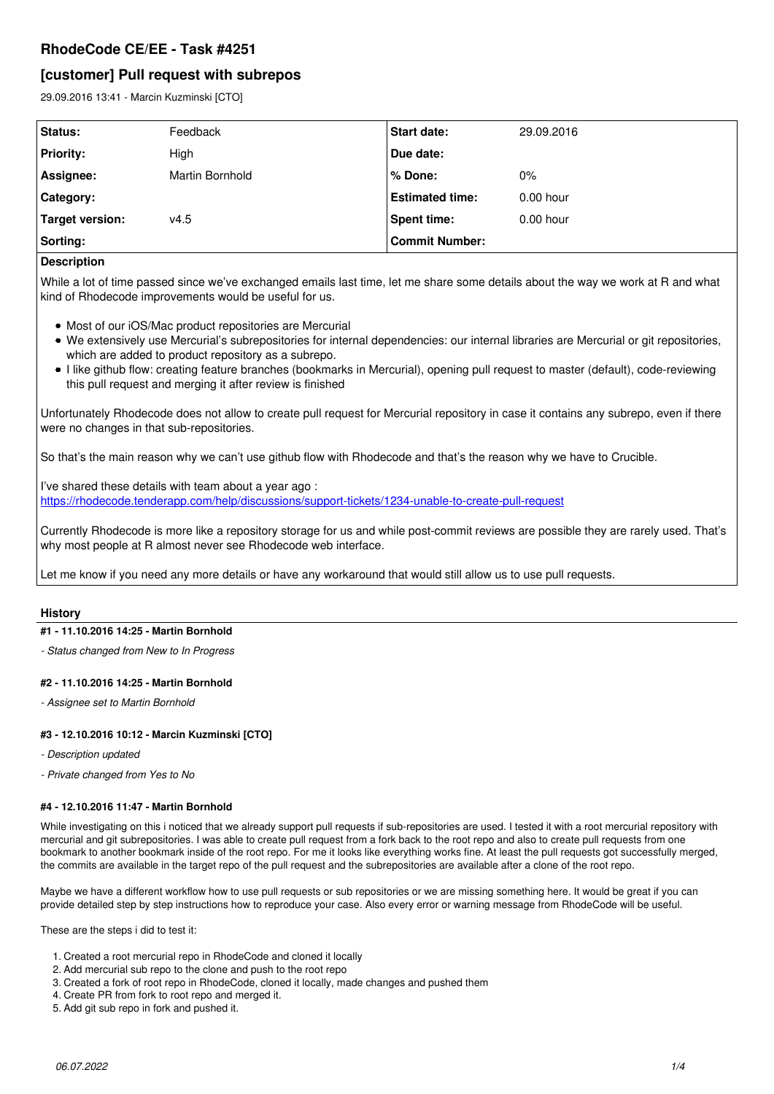# **RhodeCode CE/EE - Task #4251**

# **[customer] Pull request with subrepos**

29.09.2016 13:41 - Marcin Kuzminski [CTO]

| <b>Status:</b>   | Feedback        | <b>Start date:</b>     | 29.09.2016  |
|------------------|-----------------|------------------------|-------------|
| <b>Priority:</b> | High            | Due date:              |             |
| Assignee:        | Martin Bornhold | % Done:                | 0%          |
| Category:        |                 | <b>Estimated time:</b> | $0.00$ hour |
| Target version:  | v4.5            | <b>Spent time:</b>     | $0.00$ hour |
| Sorting:         |                 | <b>Commit Number:</b>  |             |

# **Description**

While a lot of time passed since we've exchanged emails last time, let me share some details about the way we work at R and what kind of Rhodecode improvements would be useful for us.

- Most of our iOS/Mac product repositories are Mercurial
- We extensively use Mercurial's subrepositories for internal dependencies: our internal libraries are Mercurial or git repositories, which are added to product repository as a subrepo.
- I like github flow: creating feature branches (bookmarks in Mercurial), opening pull request to master (default), code-reviewing this pull request and merging it after review is finished

Unfortunately Rhodecode does not allow to create pull request for Mercurial repository in case it contains any subrepo, even if there were no changes in that sub-repositories.

So that's the main reason why we can't use github flow with Rhodecode and that's the reason why we have to Crucible.

I've shared these details with team about a year ago : <https://rhodecode.tenderapp.com/help/discussions/support-tickets/1234-unable-to-create-pull-request>

Currently Rhodecode is more like a repository storage for us and while post-commit reviews are possible they are rarely used. That's why most people at R almost never see Rhodecode web interface.

Let me know if you need any more details or have any workaround that would still allow us to use pull requests.

# **History**

# **#1 - 11.10.2016 14:25 - Martin Bornhold**

*- Status changed from New to In Progress*

# **#2 - 11.10.2016 14:25 - Martin Bornhold**

*- Assignee set to Martin Bornhold*

# **#3 - 12.10.2016 10:12 - Marcin Kuzminski [CTO]**

- *Description updated*
- *Private changed from Yes to No*

# **#4 - 12.10.2016 11:47 - Martin Bornhold**

While investigating on this i noticed that we already support pull requests if sub-repositories are used. I tested it with a root mercurial repository with mercurial and git subrepositories. I was able to create pull request from a fork back to the root repo and also to create pull requests from one bookmark to another bookmark inside of the root repo. For me it looks like everything works fine. At least the pull requests got successfully merged, the commits are available in the target repo of the pull request and the subrepositories are available after a clone of the root repo.

Maybe we have a different workflow how to use pull requests or sub repositories or we are missing something here. It would be great if you can provide detailed step by step instructions how to reproduce your case. Also every error or warning message from RhodeCode will be useful.

These are the steps i did to test it:

- 1. Created a root mercurial repo in RhodeCode and cloned it locally
- 2. Add mercurial sub repo to the clone and push to the root repo
- 3. Created a fork of root repo in RhodeCode, cloned it locally, made changes and pushed them
- 4. Create PR from fork to root repo and merged it.
- 5. Add git sub repo in fork and pushed it.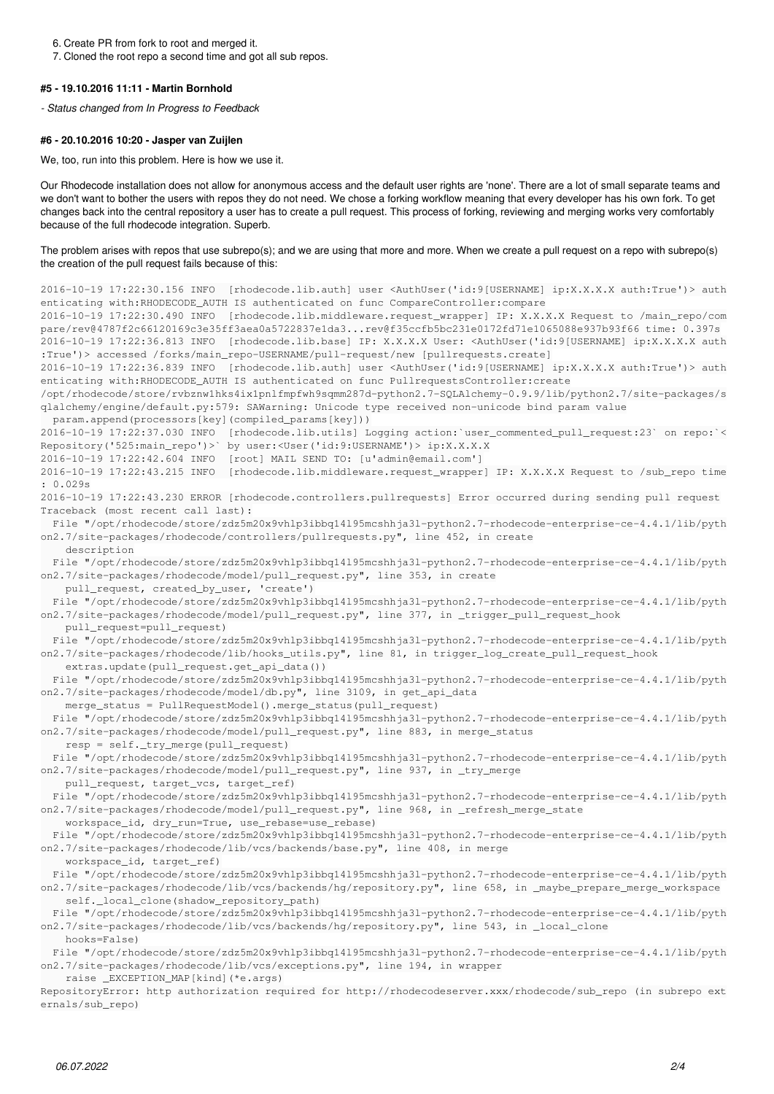6. Create PR from fork to root and merged it.

7. Cloned the root repo a second time and got all sub repos.

#### **#5 - 19.10.2016 11:11 - Martin Bornhold**

*- Status changed from In Progress to Feedback*

# **#6 - 20.10.2016 10:20 - Jasper van Zuijlen**

We, too, run into this problem. Here is how we use it.

Our Rhodecode installation does not allow for anonymous access and the default user rights are 'none'. There are a lot of small separate teams and we don't want to bother the users with repos they do not need. We chose a forking workflow meaning that every developer has his own fork. To get changes back into the central repository a user has to create a pull request. This process of forking, reviewing and merging works very comfortably because of the full rhodecode integration. Superb.

The problem arises with repos that use subrepo(s); and we are using that more and more. When we create a pull request on a repo with subrepo(s) the creation of the pull request fails because of this:

2016-10-19 17:22:30.156 INFO [rhodecode.lib.auth] user <AuthUser('id:9[USERNAME] ip:X.X.X.X auth:True')> auth enticating with:RHODECODE\_AUTH IS authenticated on func CompareController:compare 2016-10-19 17:22:30.490 INFO [rhodecode.lib.middleware.request\_wrapper] IP: X.X.X.X Request to /main\_repo/com pare/rev@4787f2c66120169c3e35ff3aea0a5722837e1da3...rev@f35ccfb5bc231e0172fd71e1065088e937b93f66 time: 0.397s 2016-10-19 17:22:36.813 INFO [rhodecode.lib.base] IP: X.X.X.X User: <AuthUser('id:9[USERNAME] ip:X.X.X.X auth :True')> accessed /forks/main\_repo-USERNAME/pull-request/new [pullrequests.create] 2016-10-19 17:22:36.839 INFO [rhodecode.lib.auth] user <AuthUser('id:9[USERNAME] ip:X.X.X.X auth:True')> auth enticating with:RHODECODE\_AUTH IS authenticated on func PullrequestsController:create /opt/rhodecode/store/rvbznw1hks4ix1pnlfmpfwh9sqmm287d-python2.7-SQLAlchemy-0.9.9/lib/python2.7/site-packages/s qlalchemy/engine/default.py:579: SAWarning: Unicode type received non-unicode bind param value param.append(processors[key](compiled\_params[key])) 2016-10-19 17:22:37.030 INFO [rhodecode.lib.utils] Logging action:`user\_commented\_pull\_request:23` on repo:`< Repository('525:main\_repo')>` by user:<User('id:9:USERNAME')> ip:X.X.X.X 2016-10-19 17:22:42.604 INFO [root] MAIL SEND TO: [u'admin@email.com'] 2016-10-19 17:22:43.215 INFO [rhodecode.lib.middleware.request\_wrapper] IP: X.X.X.X Request to /sub\_repo time : 0.029s 2016-10-19 17:22:43.230 ERROR [rhodecode.controllers.pullrequests] Error occurred during sending pull request Traceback (most recent call last): File "/opt/rhodecode/store/zdz5m20x9vhlp3ibbq14l95mcshhja3l-python2.7-rhodecode-enterprise-ce-4.4.1/lib/pyth on2.7/site-packages/rhodecode/controllers/pullrequests.py", line 452, in create description File "/opt/rhodecode/store/zdz5m20x9vhlp3ibbq14l95mcshhja3l-python2.7-rhodecode-enterprise-ce-4.4.1/lib/pyth on2.7/site-packages/rhodecode/model/pull\_request.py", line 353, in create pull\_request, created\_by\_user, 'create') File "/opt/rhodecode/store/zdz5m20x9vhlp3ibbq14l95mcshhja3l-python2.7-rhodecode-enterprise-ce-4.4.1/lib/pyth on2.7/site-packages/rhodecode/model/pull\_request.py", line 377, in \_trigger\_pull\_request\_hook pull\_request=pull\_request) File "/opt/rhodecode/store/zdz5m20x9vhlp3ibbq14l95mcshhja3l-python2.7-rhodecode-enterprise-ce-4.4.1/lib/pyth on2.7/site-packages/rhodecode/lib/hooks\_utils.py", line 81, in trigger\_log\_create\_pull\_request\_hook extras.update(pull\_request.get\_api\_data()) File "/opt/rhodecode/store/zdz5m20x9vhlp3ibbq14l95mcshhja3l-python2.7-rhodecode-enterprise-ce-4.4.1/lib/pyth on2.7/site-packages/rhodecode/model/db.py", line 3109, in get\_api\_data merge\_status = PullRequestModel().merge\_status(pull\_request) File "/opt/rhodecode/store/zdz5m20x9vhlp3ibbq14l95mcshhja3l-python2.7-rhodecode-enterprise-ce-4.4.1/lib/pyth on2.7/site-packages/rhodecode/model/pull\_request.py", line 883, in merge\_status resp = self.\_try\_merge(pull\_request) File "/opt/rhodecode/store/zdz5m20x9vhlp3ibbq14l95mcshhja3l-python2.7-rhodecode-enterprise-ce-4.4.1/lib/pyth on2.7/site-packages/rhodecode/model/pull\_request.py", line 937, in \_try\_merge pull\_request, target\_vcs, target\_ref) File "/opt/rhodecode/store/zdz5m20x9vhlp3ibbq14l95mcshhja3l-python2.7-rhodecode-enterprise-ce-4.4.1/lib/pyth on2.7/site-packages/rhodecode/model/pull\_request.py", line 968, in \_refresh\_merge\_state workspace\_id, dry\_run=True, use\_rebase=use\_rebase) File "/opt/rhodecode/store/zdz5m20x9vhlp3ibbq14l95mcshhja3l-python2.7-rhodecode-enterprise-ce-4.4.1/lib/pyth on2.7/site-packages/rhodecode/lib/vcs/backends/base.py", line 408, in merge workspace\_id, target\_ref) File "/opt/rhodecode/store/zdz5m20x9vhlp3ibbq14l95mcshhja3l-python2.7-rhodecode-enterprise-ce-4.4.1/lib/pyth on2.7/site-packages/rhodecode/lib/vcs/backends/hg/repository.py", line 658, in \_maybe\_prepare\_merge\_workspace self.\_local\_clone(shadow\_repository\_path) File "/opt/rhodecode/store/zdz5m20x9vhlp3ibbq14l95mcshhja3l-python2.7-rhodecode-enterprise-ce-4.4.1/lib/pyth on2.7/site-packages/rhodecode/lib/vcs/backends/hg/repository.py", line 543, in \_local\_clone hooks=False) File "/opt/rhodecode/store/zdz5m20x9vhlp3ibbq14l95mcshhja3l-python2.7-rhodecode-enterprise-ce-4.4.1/lib/pyth on2.7/site-packages/rhodecode/lib/vcs/exceptions.py", line 194, in wrapper

raise \_EXCEPTION\_MAP[kind](\*e.args)

RepositoryError: http authorization required for http://rhodecodeserver.xxx/rhodecode/sub\_repo (in subrepo ext ernals/sub\_repo)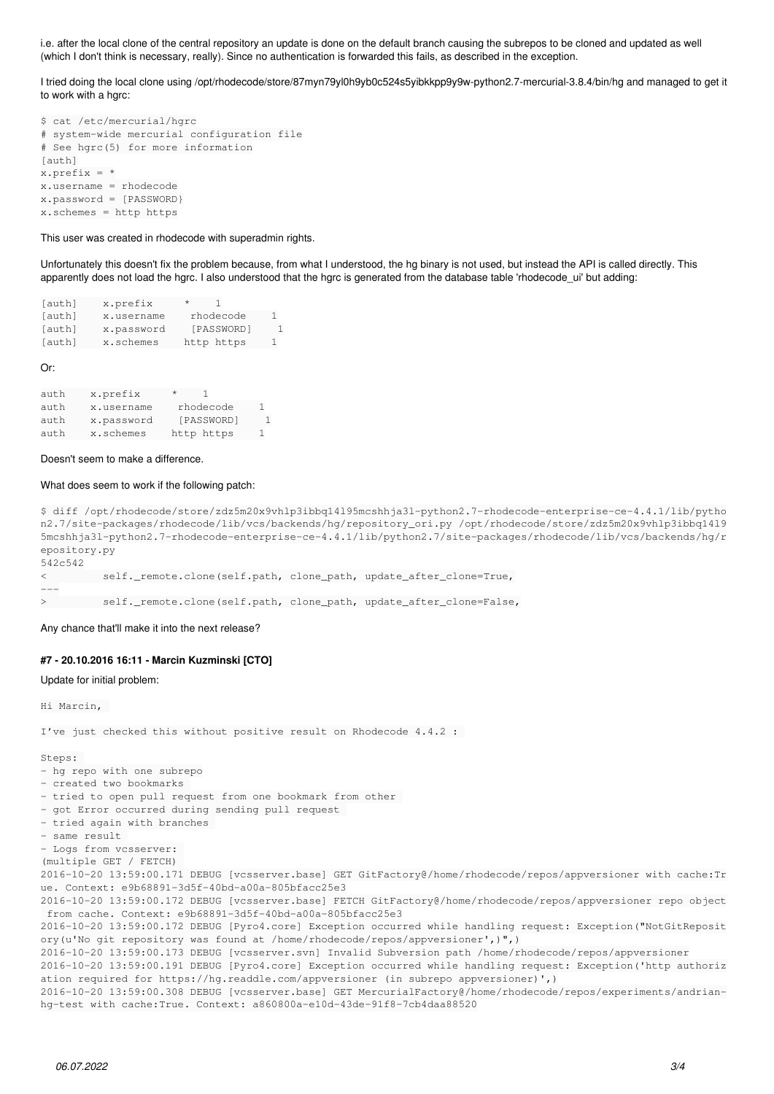i.e. after the local clone of the central repository an update is done on the default branch causing the subrepos to be cloned and updated as well (which I don't think is necessary, really). Since no authentication is forwarded this fails, as described in the exception.

I tried doing the local clone using /opt/rhodecode/store/87myn79yl0h9yb0c524s5yibkkpp9y9w-python2.7-mercurial-3.8.4/bin/hg and managed to get it to work with a hgrc:

```
$ cat /etc/mercurial/hgrc
# system-wide mercurial configuration file
# See hgrc(5) for more information
[auth]
x.prefix = *
x.username = rhodecode
x.password = [PASSWORD}
x.schemes = http https
```
This user was created in rhodecode with superadmin rights.

Unfortunately this doesn't fix the problem because, from what I understood, the hg binary is not used, but instead the API is called directly. This apparently does not load the hgrc. I also understood that the hgrc is generated from the database table 'rhodecode\_ui' but adding:

| [auth] | x.prefix   | $^{\star}$ |    |
|--------|------------|------------|----|
| [auth] | x.username | rhodecode  | 1  |
| [auth] | x.password | [PASSWORD] | 1. |
| [auth] | x.schemes  | http https | 1  |

Or:

---

| auth | x.prefix   | *          |  |
|------|------------|------------|--|
| auth | x.username | rhodecode  |  |
| auth | x.password | [PASSWORD] |  |
| auth | x.schemes  | http https |  |

Doesn't seem to make a difference.

#### What does seem to work if the following patch:

\$ diff /opt/rhodecode/store/zdz5m20x9vhlp3ibbq14l95mcshhja3l-python2.7-rhodecode-enterprise-ce-4.4.1/lib/pytho n2.7/site-packages/rhodecode/lib/vcs/backends/hg/repository\_ori.py /opt/rhodecode/store/zdz5m20x9vhlp3ibbq14l9 5mcshhja3l-python2.7-rhodecode-enterprise-ce-4.4.1/lib/python2.7/site-packages/rhodecode/lib/vcs/backends/hg/r epository.py 542c542

< self.\_remote.clone(self.path, clone\_path, update\_after\_clone=True,

> self.\_remote.clone(self.path, clone\_path, update\_after\_clone=False,

Any chance that'll make it into the next release?

#### **#7 - 20.10.2016 16:11 - Marcin Kuzminski [CTO]**

Update for initial problem:

Hi Marcin,

I've just checked this without positive result on Rhodecode 4.4.2 :

#### Steps:

- hg repo with one subrepo

```
- created two bookmarks
```
- tried to open pull request from one bookmark from other

- got Error occurred during sending pull request
- tried again with branches
- same result
- Logs from vcsserver:

(multiple GET / FETCH)

2016-10-20 13:59:00.171 DEBUG [vcsserver.base] GET GitFactory@/home/rhodecode/repos/appversioner with cache:Tr ue. Context: e9b68891-3d5f-40bd-a00a-805bfacc25e3

2016-10-20 13:59:00.172 DEBUG [vcsserver.base] FETCH GitFactory@/home/rhodecode/repos/appversioner repo object from cache. Context: e9b68891-3d5f-40bd-a00a-805bfacc25e3

2016-10-20 13:59:00.172 DEBUG [Pyro4.core] Exception occurred while handling request: Exception("NotGitReposit ory(u'No git repository was found at /home/rhodecode/repos/appversioner',)",)

2016-10-20 13:59:00.173 DEBUG [vcsserver.svn] Invalid Subversion path /home/rhodecode/repos/appversioner

2016-10-20 13:59:00.191 DEBUG [Pyro4.core] Exception occurred while handling request: Exception('http authoriz ation required for https://hg.readdle.com/appversioner (in subrepo appversioner)',)

2016-10-20 13:59:00.308 DEBUG [vcsserver.base] GET MercurialFactory@/home/rhodecode/repos/experiments/andrianhg-test with cache:True. Context: a860800a-e10d-43de-91f8-7cb4daa88520